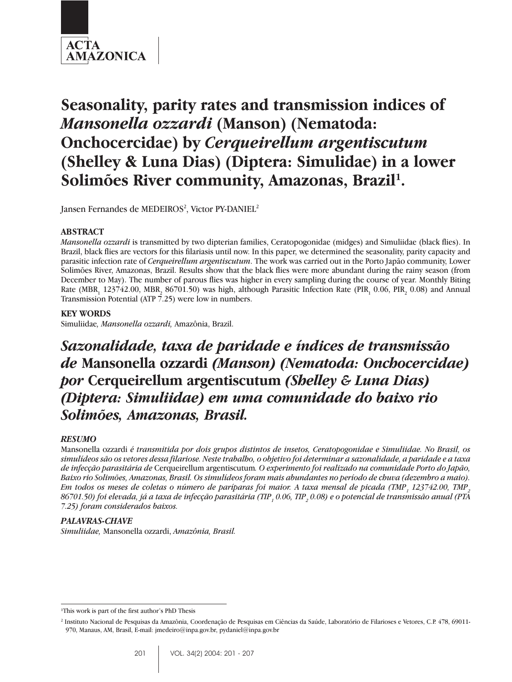

# **Seasonality, parity rates and transmission indices of** *Mansonella ozzardi* **(Manson) (Nematoda: Onchocercidae) by** *Cerqueirellum argentiscutum* **(Shelley & Luna Dias) (Diptera: Simulidae) in a lower** Solimões River community, Amazonas, Brazil<sup>1</sup>.

Jansen Fernandes de MEDEIROS<sup>2</sup>, Victor PY-DANIEL<sup>2</sup>

## **ABSTRACT**

*Mansonella ozzardi* is transmitted by two dipterian families, Ceratopogonidae (midges) and Simuliidae (black flies). In Brazil, black flies are vectors for this filariasis until now. In this paper, we determined the seasonality, parity capacity and parasitic infection rate of *Cerqueirellum argentiscutum*. The work was carried out in the Porto Japão community, Lower Solimões River, Amazonas, Brazil. Results show that the black flies were more abundant during the rainy season (from December to May). The number of parous flies was higher in every sampling during the course of year. Monthly Biting Rate (MBR<sub>1</sub> 123742.00, MBR<sub>2</sub> 86701.50) was high, although Parasitic Infection Rate (PIR<sub>1</sub> 0.06, PIR<sub>2</sub> 0.08) and Annual Transmission Potential (ATP  $\bar{7}$ .25) were low in numbers.

## **KEY WORDS**

Simuliidae*, Mansonella ozzardi,* Amazônia, Brazil.

## *Sazonalidade, taxa de paridade e índices de transmissão de* **Mansonella ozzardi** *(Manson) (Nematoda: Onchocercidae) por* **Cerqueirellum argentiscutum** *(Shelley & Luna Dias) (Diptera: Simuliidae) em uma comunidade do baixo rio Solimões, Amazonas, Brasil.*

## *RESUMO*

Mansonella ozzardi *é transmitida por dois grupos distintos de insetos, Ceratopogonidae e Simuliidae. No Brasil, os simulídeos são os vetores dessa filariose. Neste trabalho, o objetivo foi determinar a sazonalidade, a paridade e a taxa de infecção parasitária de* Cerqueirellum argentiscutum*. O experimento foi realizado na comunidade Porto do Japão, Baixo rio Solimões, Amazonas, Brasil. Os simulídeos foram mais abundantes no período de chuva (dezembro a maio).*  $E$ m todos os meses de coletas o número de paríparas foi maior. A taxa mensal de picada (TMP<sub>1</sub> 123742.00, TMP<sub>2</sub> 86701.50) foi elevada, já a taxa de infecção parasitária (TIP <sub>1</sub> 0.06, TIP <sub>2</sub> 0.08) e o potencial de transmissão anual (PTA *7.25) foram considerados baixos.*

## *PALAVRAS-CHAVE*

*Simuliidae,* Mansonella ozzardi, *Amazônia, Brasil.*

<sup>&</sup>lt;sup>1</sup>This work is part of the first author's PhD Thesis

<sup>2</sup> Instituto Nacional de Pesquisas da Amazônia, Coordenação de Pesquisas em Ciências da Saúde, Laboratório de Filarioses e Vetores, C.P. 478, 69011- 970, Manaus, AM, Brasil, E-mail: jmedeiro@inpa.gov.br, pydaniel@inpa.gov.br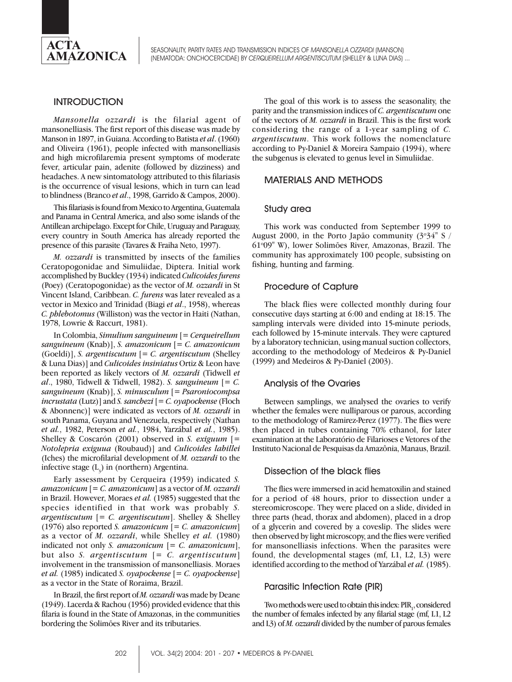

## **INTRODUCTION**

*Mansonella ozzardi* is the filarial agent of mansonelliasis. The first report of this disease was made by Manson in 1897, in Guiana. According to Batista *et al*. (1960) and Oliveira (1961), people infected with mansonelliasis and high microfilaremia present symptoms of moderate fever, articular pain, adenite (followed by dizziness) and headaches. A new sintomatology attributed to this filariasis is the occurrence of visual lesions, which in turn can lead to blindness (Branco *et al*., 1998, Garrido & Campos, 2000).

This filariasis is found from Mexico to Argentina, Guatemala and Panama in Central America, and also some islands of the Antillean archipelago. Except for Chile, Uruguay and Paraguay, every country in South America has already reported the presence of this parasite (Tavares & Fraiha Neto, 1997).

*M. ozzardi* is transmitted by insects of the families Ceratopogonidae and Simuliidae, Diptera. Initial work accomplished by Buckley (1934) indicated *Culicoides furens* (Poey) (Ceratopogonidae) as the vector of *M. ozzardi* in St Vincent Island, Caribbean. *C. furens* was later revealed as a vector in Mexico and Trinidad (Biagi *et al*., 1958), whereas *C. phlebotomus* (Williston) was the vector in Haiti (Nathan, 1978, Lowrie & Raccurt, 1981).

In Colombia, *Simulium sanguineum* [= *Cerqueirellum sanguineum* (Knab)], *S. amazonicum* [= *C. amazonicum* (Goeldi)], *S. argentiscutum* [= *C. argentiscutum* (Shelley & Luna Dias)] and *Culicoides insiniatus* Ortiz & Leon have been reported as likely vectors of *M. ozzardi* (Tidwell *et al*., 1980, Tidwell & Tidwell, 1982). *S. sanguineum* [= *C. sanguineum* (Knab)], *S. minusculum* [= *Psaroniocompsa incrustata* (Lutz)] and *S. sanchezi* [= *C. oyapockense* (Floch & Abonnenc)] were indicated as vectors of *M. ozzardi* in south Panama, Guyana and Venezuela, respectively (Nathan *et al.*, 1982, Peterson *et al.*, 1984, Yarzábal *et al.*, 1985). Shelley & Coscarón (2001) observed in *S. exiguum* [= *Notolepria exiguua* (Roubaud)] and *Culicoides lahillei* (Iches) the microfilarial development of *M. ozzardi* to the infective stage  $(L_3)$  in (northern) Argentina.

Early assessment by Cerqueira (1959) indicated *S. amazonicum* [= *C. amazonicum*] as a vector of *M. ozzardi* in Brazil. However, Moraes *et al.* (1985) suggested that the species identified in that work was probably *S. argentiscutum* [= *C. argentiscutum*]. Shelley & Shelley (1976) also reported *S. amazonicum* [= *C. amazonicum*] as a vector of *M. ozzardi*, while Shelley *et al.* (1980) indicated not only *S. amazonicum* [= *C. amazonicum*], but also *S. argentiscutum* [= *C. argentiscutum*] involvement in the transmission of mansonelliasis. Moraes *et al.* (1985) indicated *S. oyapockense* [= *C. oyapockense*] as a vector in the State of Roraima, Brazil.

In Brazil, the first report of *M. ozzardi* was made by Deane (1949). Lacerda & Rachou (1956) provided evidence that this filaria is found in the State of Amazonas, in the communities bordering the Solimões River and its tributaries.

The goal of this work is to assess the seasonality, the parity and the transmission indices of *C. argentiscutum* one of the vectors of *M. ozzardi* in Brazil. This is the first work considering the range of a 1-year sampling of *C. argentiscutum*. This work follows the nomenclature according to Py-Daniel & Moreira Sampaio (1994), where the subgenus is elevated to genus level in Simuliidae.

## MATERIALS AND METHODS

## Study area

This work was conducted from September 1999 to August 2000, in the Porto Japão community  $(3^{\circ}34^{\circ}$  S 61°09" W), lower Solimões River, Amazonas, Brazil. The community has approximately 100 people, subsisting on fishing, hunting and farming.

## Procedure of Capture

The black flies were collected monthly during four consecutive days starting at 6:00 and ending at 18:15. The sampling intervals were divided into 15-minute periods, each followed by 15-minute intervals. They were captured by a laboratory technician, using manual suction collectors, according to the methodology of Medeiros & Py-Daniel (1999) and Medeiros & Py-Daniel (2003).

#### Analysis of the Ovaries

Between samplings, we analysed the ovaries to verify whether the females were nulliparous or parous, according to the methodology of Ramirez-Perez (1977). The flies were then placed in tubes containing 70% ethanol, for later examination at the Laboratório de Filarioses e Vetores of the Instituto Nacional de Pesquisas da Amazônia, Manaus, Brazil.

#### Dissection of the black flies

The flies were immersed in acid hematoxilin and stained for a period of 48 hours, prior to dissection under a stereomicroscope. They were placed on a slide, divided in three parts (head, thorax and abdomen), placed in a drop of a glycerin and covered by a coveslip. The slides were then observed by light microscopy, and the flies were verified for mansonelliasis infections. When the parasites were found, the developmental stages (mf, L1, L2, L3) were identified according to the method of Yarzábal *et al.* (1985).

#### Parasitic Infection Rate (PIR)

Two methods were used to obtain this index:  $\mathrm{PIR}_1$ , considered the number of females infected by any filarial stage (mf, L1, L2 and L3) of *M. ozzardi* divided by the number of parous females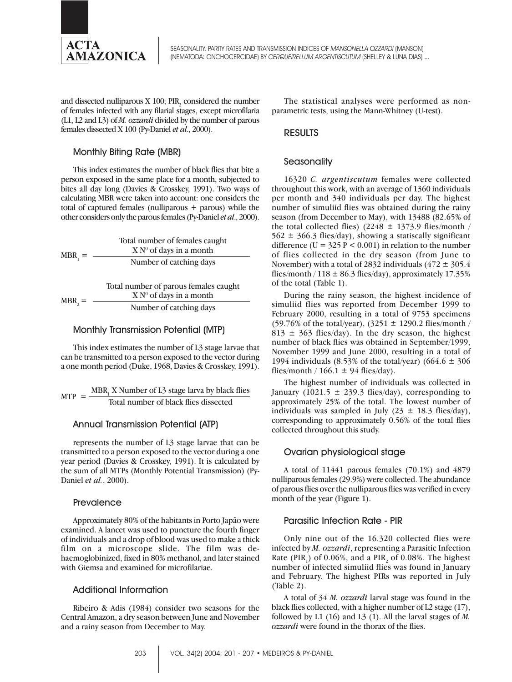

and dissected nulliparous X 100;  $\rm{PIR}_{2}$  considered the number of females infected with any filarial stages, except microfilaria (L1, L2 and L3) of *M. ozzardi* divided by the number of parous females dissected X 100 (Py-Daniel *et al*., 2000).

## Monthly Biting Rate (MBR)

This index estimates the number of black flies that bite a person exposed in the same place for a month, subjected to bites all day long (Davies & Crosskey, 1991). Two ways of calculating MBR were taken into account: one considers the total of captured females (nulliparous + parous) while the other considers only the parous females (Py-Daniel *et al*., 2000).

| $MBR_1 =$   | Total number of females caught<br>$X N0$ of days in a month        |
|-------------|--------------------------------------------------------------------|
|             | Number of catching days                                            |
|             | Total number of parous females caught<br>$X N0$ of days in a month |
| $MBR_{2} =$ | Number of catching days                                            |

## Monthly Transmission Potential (MTP)

This index estimates the number of L3 stage larvae that can be transmitted to a person exposed to the vector during a one month period (Duke, 1968, Davies & Crosskey, 1991).

 $MTP = \frac{MBR_1 X Number of L3 stage larvae by black flies}{T_1 + T_2}$ Total number of black flies dissected

## Annual Transmission Potential (ATP)

represents the number of L3 stage larvae that can be transmitted to a person exposed to the vector during a one year period (Davies & Crosskey, 1991). It is calculated by the sum of all MTPs (Monthly Potential Transmission) (Py-Daniel *et al.*, 2000).

## **Prevalence**

Approximately 80% of the habitants in Porto Japão were examined. A lancet was used to puncture the fourth finger of individuals and a drop of blood was used to make a thick film on a microscope slide. The film was dehaemoglobinized, fixed in 80% methanol, and later stained with Giemsa and examined for microfilariae.

## Additional Information

Ribeiro & Adis (1984) consider two seasons for the Central Amazon, a dry season between June and November and a rainy season from December to May.

The statistical analyses were performed as nonparametric tests, using the Mann-Whitney (U-test).

## RESULTS

## **Seasonality**

16320 *C. argentiscutum* females were collected throughout this work, with an average of 1360 individuals per month and 340 individuals per day. The highest number of simuliid flies was obtained during the rainy season (from December to May), with 13488 (82.65% of the total collected flies) (2248  $\pm$  1373.9 flies/month /  $562 \pm 366.3$  flies/day), showing a statiscally significant difference ( $U = 325 P < 0.001$ ) in relation to the number of flies collected in the dry season (from June to November) with a total of 2832 individuals  $(472 \pm 305.4)$ flies/month /  $118 \pm 86.3$  flies/day), approximately 17.35% of the total (Table 1).

During the rainy season, the highest incidence of simuliid flies was reported from December 1999 to February 2000, resulting in a total of 9753 specimens (59.76% of the total/year),  $(3251 \pm 1290.2$  flies/month / 813  $\pm$  363 flies/day). In the dry season, the highest number of black flies was obtained in September/1999, November 1999 and June 2000, resulting in a total of 1994 individuals (8.53% of the total/year) (664.6  $\pm$  306 flies/month /  $166.1 \pm 94$  flies/day).

The highest number of individuals was collected in January (1021.5  $\pm$  239.3 flies/day), corresponding to approximately 25% of the total. The lowest number of individuals was sampled in July (23  $\pm$  18.3 flies/day), corresponding to approximately 0.56% of the total flies collected throughout this study.

## Ovarian physiological stage

A total of 11441 parous females (70.1%) and 4879 nulliparous females (29.9%) were collected. The abundance of parous flies over the nulliparous flies was verified in every month of the year (Figure 1).

## Parasitic Infection Rate - PIR

Only nine out of the 16.320 collected flies were infected by *M. ozzardi*, representing a Parasitic Infection Rate (PIR<sub>1</sub>) of 0.06%, and a PIR<sub>2</sub> of 0.08%. The highest number of infected simuliid flies was found in January and February. The highest PIRs was reported in July (Table 2).

A total of 34 *M. ozzardi* larval stage was found in the black flies collected, with a higher number of L2 stage (17), followed by L1 (16) and L3 (1). All the larval stages of *M. ozzardi* were found in the thorax of the flies.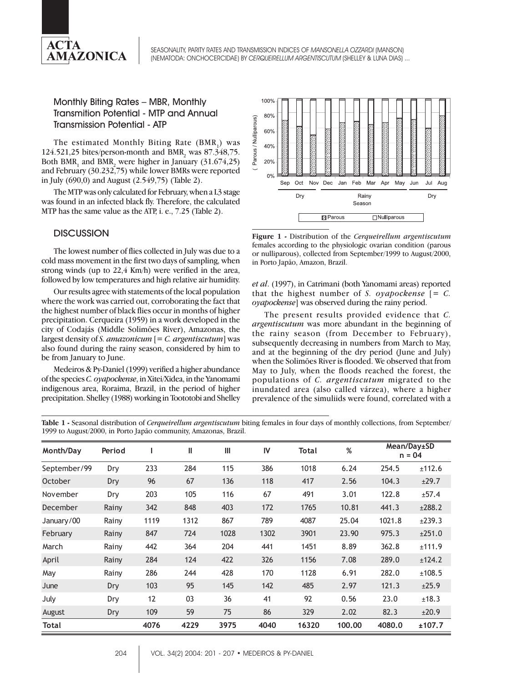

## Monthly Biting Rates – MBR, Monthly Transmition Potential - MTP and Annual Transmission Potential - ATP

The estimated Monthly Biting Rate (BMR) was 124.521,25 bites/person-month and BMR<sub>2</sub> was  $87.348,75$ . Both BMR<sub>1</sub> and BMR<sub>2</sub> were higher in January (31.674,25) and February (30.232,75) while lower BMRs were reported in July (690,0) and August (2.549,75) (Table 2).

The MTP was only calculated for February, when a L3 stage was found in an infected black fly. Therefore, the calculated MTP has the same value as the ATP, i. e., 7.25 (Table 2).

## **DISCUSSION**

The lowest number of flies collected in July was due to a cold mass movement in the first two days of sampling, when strong winds (up to 22,4 Km/h) were verified in the area, followed by low temperatures and high relative air humidity.

Our results agree with statements of the local population where the work was carried out, corroborating the fact that the highest number of black flies occur in months of higher precipitation. Cerqueira (1959) in a work developed in the city of Codajás (Middle Solimões River), Amazonas, the largest density of *S. amazonicum* [= *C. argentiscutum*] was also found during the rainy season, considered by him to be from January to June.

Medeiros & Py-Daniel (1999) verified a higher abundance of the species *C. oyapockense*, in Xitei/Xidea, in the Yanomami indigenous area, Roraima, Brazil, in the period of higher precipitation. Shelley (1988) working in Toototobi and Shelley



**Figure 1 -** Distribution of the *Cerqueirellum argentiscutum* females according to the physiologic ovarian condition (parous or nulliparous), collected from September/1999 to August/2000, in Porto Japão, Amazon, Brazil.

*et al*. (1997), in Catrimani (both Yanomami areas) reported that the highest number of *S. oyapockense*  $\epsilon = C$ . *oyapockense*] was observed during the rainy period.

The present results provided evidence that *C. argentiscutum* was more abundant in the beginning of the rainy season (from December to February), subsequently decreasing in numbers from March to May, and at the beginning of the dry period (June and July) when the Solimões River is flooded. We observed that from May to July, when the floods reached the forest, the populations of *C. argentiscutum* migrated to the inundated area (also called várzea), where a higher prevalence of the simuliids were found, correlated with a

**Table 1 -** Seasonal distribution of *Cerqueirellum argentiscutum* biting females in four days of monthly collections, from September/ 1999 to August/2000, in Porto Japão community, Amazonas, Brazil.

| Month/Day    | Period |      | Ш    | Ш    | IV   | Total | %      |        | Mean/Day±SD<br>$n = 04$ |
|--------------|--------|------|------|------|------|-------|--------|--------|-------------------------|
| September/99 | Dry    | 233  | 284  | 115  | 386  | 1018  | 6.24   | 254.5  | ±112.6                  |
| October      | Dry    | 96   | 67   | 136  | 118  | 417   | 2.56   | 104.3  | ±29.7                   |
| November     | Dry    | 203  | 105  | 116  | 67   | 491   | 3.01   | 122.8  | ±57.4                   |
| December     | Rainy  | 342  | 848  | 403  | 172  | 1765  | 10.81  | 441.3  | ±288.2                  |
| January/00   | Rainy  | 1119 | 1312 | 867  | 789  | 4087  | 25.04  | 1021.8 | ±239.3                  |
| February     | Rainy  | 847  | 724  | 1028 | 1302 | 3901  | 23.90  | 975.3  | ±251.0                  |
| March        | Rainy  | 442  | 364  | 204  | 441  | 1451  | 8.89   | 362.8  | ±111.9                  |
| April        | Rainy  | 284  | 124  | 422  | 326  | 1156  | 7.08   | 289.0  | ±124.2                  |
| May          | Rainy  | 286  | 244  | 428  | 170  | 1128  | 6.91   | 282.0  | ±108.5                  |
| June         | Dry    | 103  | 95   | 145  | 142  | 485   | 2.97   | 121.3  | ±25.9                   |
| July         | Dry    | 12   | 03   | 36   | 41   | 92    | 0.56   | 23.0   | ±18.3                   |
| August       | Dry    | 109  | 59   | 75   | 86   | 329   | 2.02   | 82.3   | ±20.9                   |
| Total        |        | 4076 | 4229 | 3975 | 4040 | 16320 | 100.00 | 4080.0 | ±107.7                  |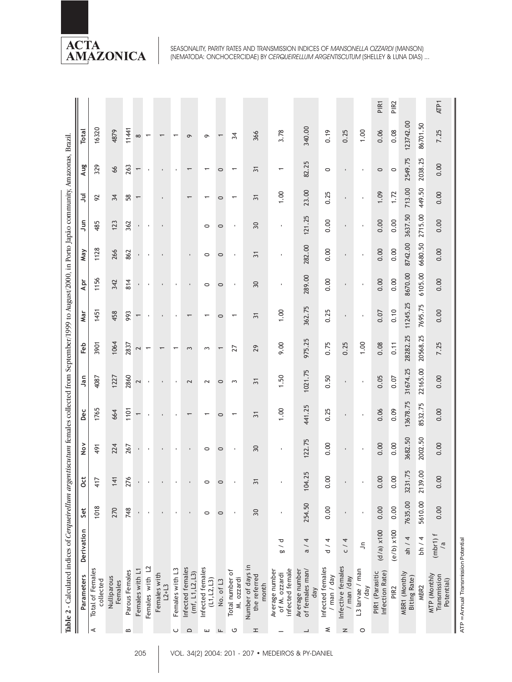

|                   | Table 2 - Calculated indices of Cerqueirellum argentiscutum females collected from September/1999 to August/2000, in Porto Japão community, Amazonas, Brazil |                                           |                |                      |                    |                          |                 |                          |                          |                |                |                |                          |                          |                          |                  |
|-------------------|--------------------------------------------------------------------------------------------------------------------------------------------------------------|-------------------------------------------|----------------|----------------------|--------------------|--------------------------|-----------------|--------------------------|--------------------------|----------------|----------------|----------------|--------------------------|--------------------------|--------------------------|------------------|
|                   | Parameters                                                                                                                                                   | Derivation                                | Set            | Oct                  | $\frac{8}{2}$      | Dec                      | Jan             | Feb                      | Mar                      | Apr            | May            | $\tilde{=}$    | ョ                        | Aug                      | Total                    |                  |
| ⋖                 | Total of Females<br>collected                                                                                                                                |                                           | 1018           | 417                  | 491                | 1765                     | 4087            | 3901                     | 1451                     | 1156           | 1128           | 485            | 92                       | 329                      | 16320                    |                  |
|                   | Nulliparous<br>Females                                                                                                                                       |                                           | 270            | 141                  | 224                | 664                      | 1227            | 1064                     | 458                      | 342            | 266            | 123            | 34                       | 66                       | 4879                     |                  |
| $\mathbf{\Omega}$ | Parous Females                                                                                                                                               |                                           | 748            | ò.<br>$\overline{z}$ | 267                | 1101                     | 2860            | 2837                     | 993                      | 814            | 862            | 362            | $58\,$                   | 263                      | 11441                    |                  |
|                   | Females with L1                                                                                                                                              |                                           |                |                      | $\mathbf{r}_\perp$ | $\overline{\phantom{0}}$ | 2               | 2                        | $\overline{\phantom{0}}$ |                |                |                | $\overline{\phantom{0}}$ | $\overline{\phantom{0}}$ | $\infty$                 |                  |
|                   | Females with L2                                                                                                                                              |                                           | ï              |                      | $\mathbf{r}$       |                          | ٠               | $\overline{\phantom{0}}$ |                          |                |                | ٠              |                          | J.                       | $\overline{\phantom{0}}$ |                  |
|                   | Females with<br>$L^{2+}L^{3}$                                                                                                                                |                                           |                |                      | $\blacksquare$     |                          |                 | $\overline{\phantom{0}}$ |                          |                |                |                |                          |                          | $\overline{\phantom{0}}$ |                  |
| ပ                 | Females with L3                                                                                                                                              |                                           | $\blacksquare$ |                      |                    |                          |                 | $\overline{\phantom{0}}$ |                          |                |                |                |                          |                          | $\overline{\phantom{0}}$ |                  |
| $\Omega$          | Infected females<br>(mf, L1, L2, L3)                                                                                                                         |                                           |                |                      |                    |                          | 2               | 3                        | $\overline{\phantom{0}}$ |                |                |                | $\overline{\phantom{0}}$ | $\overline{\phantom{0}}$ | $\circ$                  |                  |
| ш                 | Infected females<br>(L1, L2, L3)                                                                                                                             |                                           | $\circ$        |                      | $\circ$            |                          | 2               | $\sim$                   |                          | $\circ$        | $\circ$        | $\circ$        |                          |                          | $\sigma$                 |                  |
| ட                 | No. of L3                                                                                                                                                    |                                           | $\circ$        |                      | $\circ$            | 0                        | $\circ$         |                          | $\circ$                  | $\circ$        | $\circ$        | $\circ$        | $\circ$                  | $\circ$                  |                          |                  |
| ပ                 | Total number of<br>M. ozzardi                                                                                                                                |                                           |                |                      | ٠                  |                          | 3               | 27                       |                          |                |                | ٠              | ٣                        | ٣                        | 34                       |                  |
| ᆂ                 | Number of days in<br>the referred<br>month                                                                                                                   |                                           | 30             | $\overline{5}$       | 30                 | $\overline{5}$           | $\overline{31}$ | 29                       | $\overline{31}$          | 30             | $\overline{5}$ | 30             | $\geq$                   | స్                       | 366                      |                  |
|                   | infected female<br>Average number<br>of M. ozzardi                                                                                                           | $\frac{a}{a}$                             |                |                      | ×                  | 1.00                     | 1.50            | 9.00                     | 1.00                     | $\blacksquare$ | ٠              | $\blacksquare$ | 1.00                     | $\overline{\phantom{0}}$ | 3.78                     |                  |
|                   | of females man/<br>Average number<br>day                                                                                                                     | 4<br>$\overline{\phantom{0}}$<br>$\sigma$ | 254.50         | .25<br>104.          | 122.75             | 441.25                   | 1021.75         | 975.25                   | 362.75                   | 289.00         | 282.00         | 121.25         | 23.00                    | 82.25                    | 340.00                   |                  |
| ≲                 | Infected females<br>/ man / day                                                                                                                              | d / 4                                     | 0.00           | 8<br>$\tilde{\circ}$ | 0.00               | 0.25                     | 0.50            | 0.75                     | 0.25                     | 0.00           | 0.00           | 0.00           | 0.25                     | $\circ$                  | 0.19                     |                  |
| $\mathsf{z}$      | Infective females<br>/ man /day                                                                                                                              | C/4                                       |                |                      |                    |                          |                 | 0.25                     |                          |                |                |                |                          |                          | 0.25                     |                  |
| $\circ$           | L3 larvae / man<br>/day                                                                                                                                      | $\tilde{=}$                               |                |                      | $\mathbf{I}$       | ٠                        | $\mathbf{I}$    | 1.00                     | ٠                        |                |                | ٠              |                          |                          | 1.00                     |                  |
|                   | Infection Rate)<br>PIR1 (Parasitic                                                                                                                           | $(d/a)$ x 100                             | 0.00           | 0.00                 | 0.00               | 0.06                     | 0.05            | 0.08                     | 0.07                     | 0.00           | 0.00           | 0.00           | 1.09                     | $\circ$                  | 0.06                     | PIR <sub>1</sub> |
|                   | PIR <sub>2</sub>                                                                                                                                             | $(e/b)$ $x100$                            | 0.00           | 0.00                 | 0.00               | 0.09                     | 0.07            | 0.11                     | 0.10                     | 0.00           | 0.00           | 0.00           | 1.72                     | $\circ$                  | 0.08                     | PIR <sub>2</sub> |
|                   | MBR1 (Monthly<br><b>Biting Rate)</b>                                                                                                                         | ah / 4                                    | 7635.00        | 1.75<br>3231         | 3682.50            | 13678.75                 | 31674.25        | 28282.25                 | 11245.25                 | 8670.00        | 8742.00        | 3637.50        | 713.00                   | 2549.75                  | 123742.00                |                  |
|                   | MBR2                                                                                                                                                         | bh $/4$                                   | 5610.00        | 2139.00              | 2002.50            | 8532.75                  | 22165.00        | 20568.25                 | 7695.75                  | 6105.00        | 6680.50        | 2715.00        | 449.50                   | 2038.25                  | 86701.50                 |                  |
|                   | MTP (Monthly<br>Transmission<br>Potential)                                                                                                                   | (mbr1) f                                  | 0.00           | 0.00                 | 0.00               | 0.00                     | 0.00            | 7.25                     | 0.00                     | 0.00           | 0.00           | 0.00           | 0.00                     | 0.00                     | 7.25                     | <b>ATP1</b>      |
|                   | ATP = Annual Transmission Potential                                                                                                                          |                                           |                |                      |                    |                          |                 |                          |                          |                |                |                |                          |                          |                          |                  |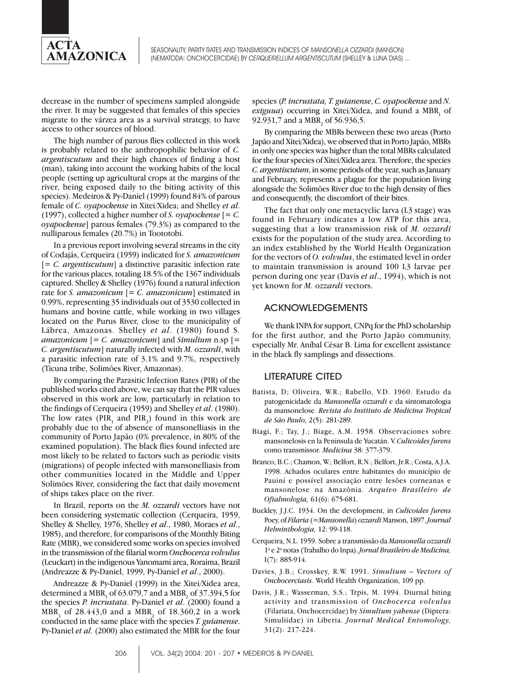

decrease in the number of specimens sampled alongside the river. It may be suggested that females of this species migrate to the várzea area as a survival strategy, to have access to other sources of blood.

The high number of parous flies collected in this work is probably related to the anthropophilic behavior of *C. argentiscutum* and their high chances of finding a host (man), taking into account the working habits of the local people (setting up agricultural crops at the margins of the river, being exposed daily to the biting activity of this species). Medeiros & Py-Daniel (1999) found 84% of parous female of *C. oyapockense* in Xitei/Xidea; and Shelley *et al*. (1997), collected a higher number of *S. oyapockense* [= *C. oyapockense*] parous females (79.3%) as compared to the nulliparous females (20.7%) in Toototobi.

In a previous report involving several streams in the city of Codajás, Cerqueira (1959) indicated for *S. amazonicum* [*= C. argentiscutum*] a distinctive parasitic infection rate for the various places, totaling 18.5% of the 1367 individuals captured. Shelley & Shelley (1976) found a natural infection rate for *S. amazonicum* [*= C. amazonicum*] estimated in 0.99%, representing 35 individuals out of 3530 collected in humans and bovine cattle, while working in two villages located on the Purus River, close to the municipality of Lábrea, Amazonas. Shelley *et al*. (1980) found S*. amazonicum* [*= C. amazonicum*] and *Simulium* n.sp [= *C. argentiscutum*] naturally infected with *M. ozzardi*, with a parasitic infection rate of 3.1% and 9.7%, respectively (Ticuna tribe, Solimões River, Amazonas).

By comparing the Parasitic Infection Rates (PIR) of the published works cited above, we can say that the PIR values observed in this work are low, particularly in relation to the findings of Cerqueira (1959) and Shelley *et al*. (1980). The low rates ( $PIR_1$  and  $PIR_2$ ) found in this work are probably due to the of absence of mansonelliasis in the community of Porto Japão (0% prevalence, in 80% of the examined population). The black flies found infected are most likely to be related to factors such as periodic visits (migrations) of people infected with mansonelliasis from other communities located in the Middle and Upper Solimões River, considering the fact that daily movement of ships takes place on the river.

In Brazil, reports on the *M. ozzardi* vectors have not been considering systematic collection (Cerqueira, 1959, Shelley & Shelley, 1976, Shelley *et al*., 1980, Moraes *et al*., 1985), and therefore, for comparisons of the Monthly Biting Rate (MBR), we considered some works on species involved in the transmission of the filarial worm *Onchocerca volvulus* (Leuckart) in the indigenous Yanomami area, Roraima, Brazil (Andreazze & Py-Daniel, 1999, Py-Daniel *et al*., 2000).

Andreazze & Py-Daniel (1999) in the Xitei/Xidea area, determined a  $MBR_{1}$  of 63.079,7 and a  $MBR_{2}$  of 37.394,5 for the species *P. incrustata*. Py-Daniel *et al*. (2000) found a  $MBR_{1}^{\prime}$  of 28.443,0 and a  $MBR_{2}^{\prime}$  of 18.360,2 in a work conducted in the same place with the species *T. guianense*. Py-Daniel *et al*. (2000) also estimated the MBR for the four species (*P. incrustata, T. guianense*, *C. oyapockense* and *N. exiguua*) occurring in Xitei/Xidea, and found a MBR<sub>1</sub> of 92.931,7 and a  $MBR_2$  of 56.936,5.

By comparing the MBRs between these two areas (Porto Japão and Xitei/Xidea), we observed that in Porto Japão, MBRs in only one species was higher than the total MBRs calculated for the four species of Xitei/Xidea area. Therefore, the species *C. argentiscutum*, in some periods of the year, such as January and February, represents a plague for the population living alongside the Solimões River due to the high density of flies and consequently, the discomfort of their bites.

The fact that only one metacyclic larva (L3 stage) was found in February indicates a low ATP for this area, suggesting that a low transmission risk of *M. ozzardi* exists for the population of the study area. According to an index established by the World Health Organization for the vectors of *O. volvulus*, the estimated level in order to maintain transmission is around 100 L3 larvae per person during one year (Davis *et al*., 1994), which is not yet known for *M. ozzardi* vectors.

#### ACKNOWLEDGEMENTS

We thank INPA for support, CNPq for the PhD scholarship for the first author, and the Porto Japão community, especially Mr. Aníbal César B. Lima for excellent assistance in the black fly samplings and dissections.

## LITERATURE CITED

- Batista, D; Oliveira, W.R.; Rabello, V.D. 1960. Estudo da patogenicidade da *Mansonella ozzardi* e da sintomatologia da mansonelose. *Revista do Instituto de Medicina Tropical de São Paulo,* 2(5): 281-289.
- Biagi, F.; Tay, J.; Biage, A.M. 1958. Observaciones sobre mansonelosis en la Peninsula de Yucatán. V. *Culicoides furens* como transmissor. *Medicina* 38: 377-379.
- Branco, B.C.; Chamon, W.; Belfort, R.N.; Belfort, Jr.R.; Costa, A.J.A. 1998. Achados oculares entre habitantes do município de Pauiní e possível associação entre lesões corneanas e mansonelose na Amazônia. *Arquivo Brasileiro de Oftalmologia,* 61(6): 675-681.
- Buckley, J.J.C. 1934. On the development, in *Culicoides furens* Poey, of *Filaria* (=*Mansonella*) *ozzardi* Manson, 1897. *Journal Helminthologia,* 12: 99-118.
- Cerqueira, N.L. 1959. Sobre a transmissão da *Mansonella ozzardi* 1a e 2a notas (Trabalho do Inpa). *Jornal Brasileiro de Medicina,* I(7): 885-914.
- Davies, J.B.; Crosskey, R.W. 1991. *Simulium Vectors of Onchocerciasis*. World Health Organization, 109 pp.
- Davis, J.R.; Wasserman, S.S.; Trpis, M. 1994. Diurnal biting activity and transmission of *Onchocerca volvulus* (Filariata, Onchocercidae) by *Simulium yahense* (Diptera: Simuliidae) in Liberia. *Journal Medical Entomology,* 31(2): 217-224.